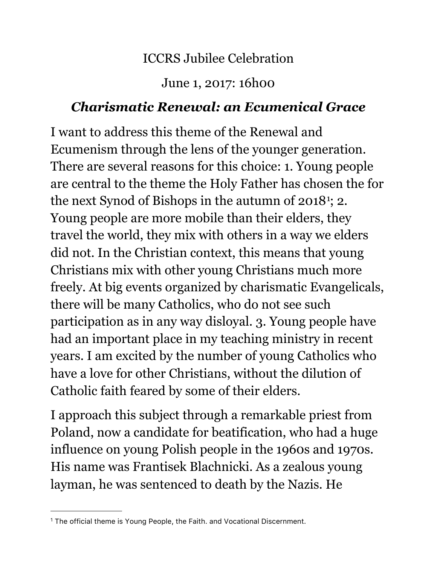## ICCRS Jubilee Celebration

## June 1, 2017: 16h00

## *Charismatic Renewal: an Ecumenical Grace*

I want to address this theme of the Renewal and Ecumenism through the lens of the younger generation. There are several reasons for this choice: 1. Young people are central to the theme the Holy Father has chosen the for the next Synod of Bishops in the autumn of 20[1](#page-0-0)8<sup>1</sup>; 2. Young people are more mobile than their elders, they travel the world, they mix with others in a way we elders did not. In the Christian context, this means that young Christians mix with other young Christians much more freely. At big events organized by charismatic Evangelicals, there will be many Catholics, who do not see such participation as in any way disloyal. 3. Young people have had an important place in my teaching ministry in recent years. I am excited by the number of young Catholics who have a love for other Christians, without the dilution of Catholic faith feared by some of their elders.

I approach this subject through a remarkable priest from Poland, now a candidate for beatification, who had a huge influence on young Polish people in the 1960s and 1970s. His name was Frantisek Blachnicki. As a zealous young layman, he was sentenced to death by the Nazis. He

<span id="page-0-0"></span><sup>&</sup>lt;sup>1</sup> The official theme is Young People, the Faith. and Vocational Discernment.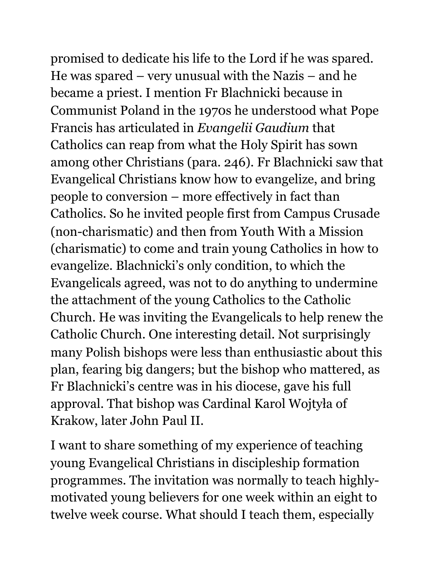promised to dedicate his life to the Lord if he was spared. He was spared – very unusual with the Nazis – and he became a priest. I mention Fr Blachnicki because in Communist Poland in the 1970s he understood what Pope Francis has articulated in *Evangelii Gaudium* that Catholics can reap from what the Holy Spirit has sown among other Christians (para. 246). Fr Blachnicki saw that Evangelical Christians know how to evangelize, and bring people to conversion – more effectively in fact than Catholics. So he invited people first from Campus Crusade (non-charismatic) and then from Youth With a Mission (charismatic) to come and train young Catholics in how to evangelize. Blachnicki's only condition, to which the Evangelicals agreed, was not to do anything to undermine the attachment of the young Catholics to the Catholic Church. He was inviting the Evangelicals to help renew the Catholic Church. One interesting detail. Not surprisingly many Polish bishops were less than enthusiastic about this plan, fearing big dangers; but the bishop who mattered, as Fr Blachnicki's centre was in his diocese, gave his full approval. That bishop was Cardinal Karol Wojtyła of Krakow, later John Paul II.

I want to share something of my experience of teaching young Evangelical Christians in discipleship formation programmes. The invitation was normally to teach highlymotivated young believers for one week within an eight to twelve week course. What should I teach them, especially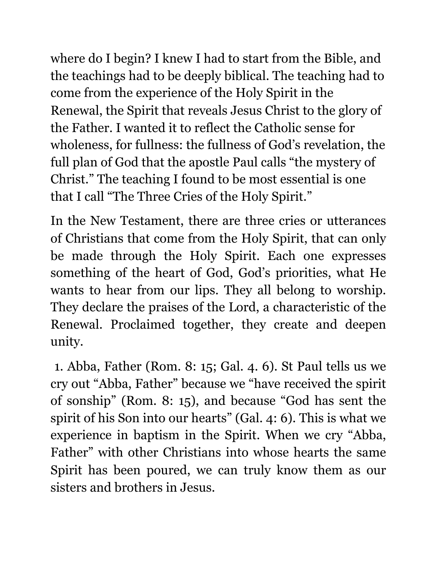where do I begin? I knew I had to start from the Bible, and the teachings had to be deeply biblical. The teaching had to come from the experience of the Holy Spirit in the Renewal, the Spirit that reveals Jesus Christ to the glory of the Father. I wanted it to reflect the Catholic sense for wholeness, for fullness: the fullness of God's revelation, the full plan of God that the apostle Paul calls "the mystery of Christ." The teaching I found to be most essential is one that I call "The Three Cries of the Holy Spirit."

In the New Testament, there are three cries or utterances of Christians that come from the Holy Spirit, that can only be made through the Holy Spirit. Each one expresses something of the heart of God, God's priorities, what He wants to hear from our lips. They all belong to worship. They declare the praises of the Lord, a characteristic of the Renewal. Proclaimed together, they create and deepen unity.

 1. Abba, Father (Rom. 8: 15; Gal. 4. 6). St Paul tells us we cry out "Abba, Father" because we "have received the spirit of sonship" (Rom. 8: 15), and because "God has sent the spirit of his Son into our hearts" (Gal. 4: 6). This is what we experience in baptism in the Spirit. When we cry "Abba, Father" with other Christians into whose hearts the same Spirit has been poured, we can truly know them as our sisters and brothers in Jesus.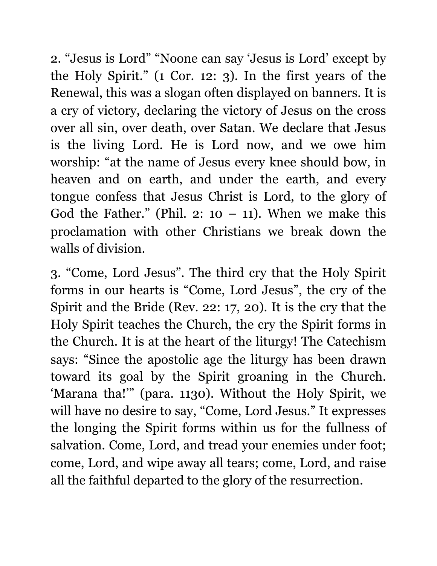2. "Jesus is Lord" "Noone can say 'Jesus is Lord' except by the Holy Spirit." (1 Cor. 12: 3). In the first years of the Renewal, this was a slogan often displayed on banners. It is a cry of victory, declaring the victory of Jesus on the cross over all sin, over death, over Satan. We declare that Jesus is the living Lord. He is Lord now, and we owe him worship: "at the name of Jesus every knee should bow, in heaven and on earth, and under the earth, and every tongue confess that Jesus Christ is Lord, to the glory of God the Father." (Phil. 2:  $10 - 11$ ). When we make this proclamation with other Christians we break down the walls of division.

3. "Come, Lord Jesus". The third cry that the Holy Spirit forms in our hearts is "Come, Lord Jesus", the cry of the Spirit and the Bride (Rev. 22: 17, 20). It is the cry that the Holy Spirit teaches the Church, the cry the Spirit forms in the Church. It is at the heart of the liturgy! The Catechism says: "Since the apostolic age the liturgy has been drawn toward its goal by the Spirit groaning in the Church. 'Marana tha!'" (para. 1130). Without the Holy Spirit, we will have no desire to say, "Come, Lord Jesus." It expresses the longing the Spirit forms within us for the fullness of salvation. Come, Lord, and tread your enemies under foot; come, Lord, and wipe away all tears; come, Lord, and raise all the faithful departed to the glory of the resurrection.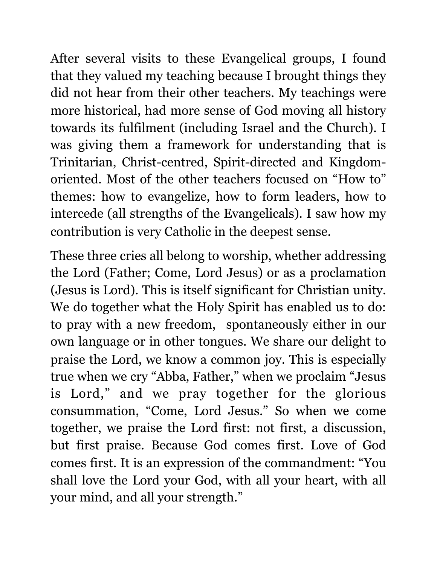After several visits to these Evangelical groups, I found that they valued my teaching because I brought things they did not hear from their other teachers. My teachings were more historical, had more sense of God moving all history towards its fulfilment (including Israel and the Church). I was giving them a framework for understanding that is Trinitarian, Christ-centred, Spirit-directed and Kingdomoriented. Most of the other teachers focused on "How to" themes: how to evangelize, how to form leaders, how to intercede (all strengths of the Evangelicals). I saw how my contribution is very Catholic in the deepest sense.

These three cries all belong to worship, whether addressing the Lord (Father; Come, Lord Jesus) or as a proclamation (Jesus is Lord). This is itself significant for Christian unity. We do together what the Holy Spirit has enabled us to do: to pray with a new freedom, spontaneously either in our own language or in other tongues. We share our delight to praise the Lord, we know a common joy. This is especially true when we cry "Abba, Father," when we proclaim "Jesus is Lord," and we pray together for the glorious consummation, "Come, Lord Jesus." So when we come together, we praise the Lord first: not first, a discussion, but first praise. Because God comes first. Love of God comes first. It is an expression of the commandment: "You shall love the Lord your God, with all your heart, with all your mind, and all your strength."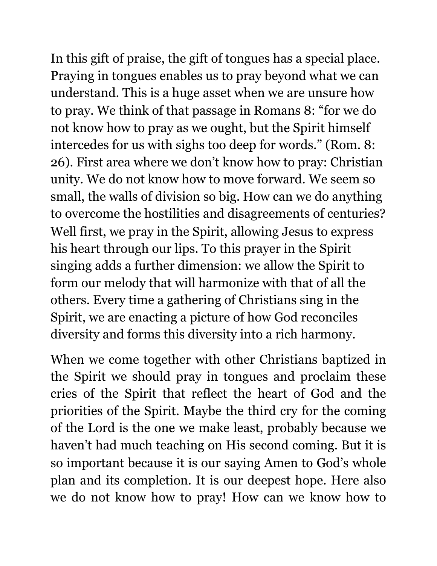In this gift of praise, the gift of tongues has a special place. Praying in tongues enables us to pray beyond what we can understand. This is a huge asset when we are unsure how to pray. We think of that passage in Romans 8: "for we do not know how to pray as we ought, but the Spirit himself intercedes for us with sighs too deep for words." (Rom. 8: 26). First area where we don't know how to pray: Christian unity. We do not know how to move forward. We seem so small, the walls of division so big. How can we do anything to overcome the hostilities and disagreements of centuries? Well first, we pray in the Spirit, allowing Jesus to express his heart through our lips. To this prayer in the Spirit singing adds a further dimension: we allow the Spirit to form our melody that will harmonize with that of all the others. Every time a gathering of Christians sing in the Spirit, we are enacting a picture of how God reconciles diversity and forms this diversity into a rich harmony.

When we come together with other Christians baptized in the Spirit we should pray in tongues and proclaim these cries of the Spirit that reflect the heart of God and the priorities of the Spirit. Maybe the third cry for the coming of the Lord is the one we make least, probably because we haven't had much teaching on His second coming. But it is so important because it is our saying Amen to God's whole plan and its completion. It is our deepest hope. Here also we do not know how to pray! How can we know how to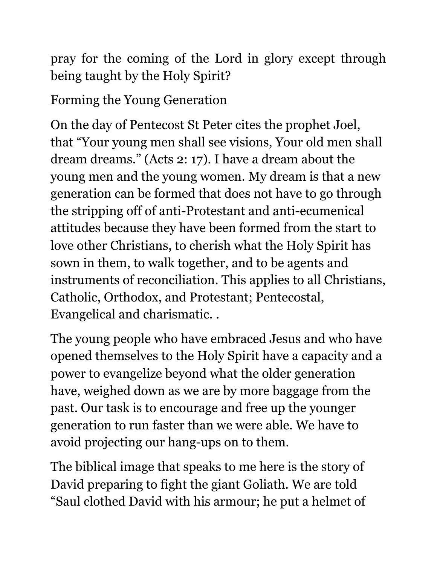pray for the coming of the Lord in glory except through being taught by the Holy Spirit?

Forming the Young Generation

On the day of Pentecost St Peter cites the prophet Joel, that "Your young men shall see visions, Your old men shall dream dreams." (Acts 2: 17). I have a dream about the young men and the young women. My dream is that a new generation can be formed that does not have to go through the stripping off of anti-Protestant and anti-ecumenical attitudes because they have been formed from the start to love other Christians, to cherish what the Holy Spirit has sown in them, to walk together, and to be agents and instruments of reconciliation. This applies to all Christians, Catholic, Orthodox, and Protestant; Pentecostal, Evangelical and charismatic. .

The young people who have embraced Jesus and who have opened themselves to the Holy Spirit have a capacity and a power to evangelize beyond what the older generation have, weighed down as we are by more baggage from the past. Our task is to encourage and free up the younger generation to run faster than we were able. We have to avoid projecting our hang-ups on to them.

The biblical image that speaks to me here is the story of David preparing to fight the giant Goliath. We are told "Saul clothed David with his armour; he put a helmet of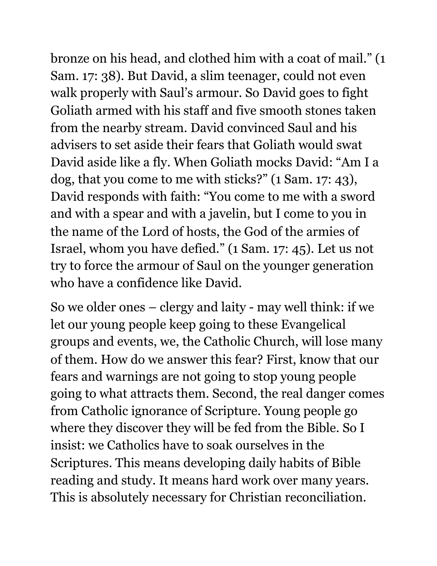bronze on his head, and clothed him with a coat of mail." (1 Sam. 17: 38). But David, a slim teenager, could not even walk properly with Saul's armour. So David goes to fight Goliath armed with his staff and five smooth stones taken from the nearby stream. David convinced Saul and his advisers to set aside their fears that Goliath would swat David aside like a fly. When Goliath mocks David: "Am I a dog, that you come to me with sticks?" (1 Sam. 17: 43), David responds with faith: "You come to me with a sword and with a spear and with a javelin, but I come to you in the name of the Lord of hosts, the God of the armies of Israel, whom you have defied." (1 Sam. 17: 45). Let us not try to force the armour of Saul on the younger generation who have a confidence like David.

So we older ones – clergy and laity - may well think: if we let our young people keep going to these Evangelical groups and events, we, the Catholic Church, will lose many of them. How do we answer this fear? First, know that our fears and warnings are not going to stop young people going to what attracts them. Second, the real danger comes from Catholic ignorance of Scripture. Young people go where they discover they will be fed from the Bible. So I insist: we Catholics have to soak ourselves in the Scriptures. This means developing daily habits of Bible reading and study. It means hard work over many years. This is absolutely necessary for Christian reconciliation.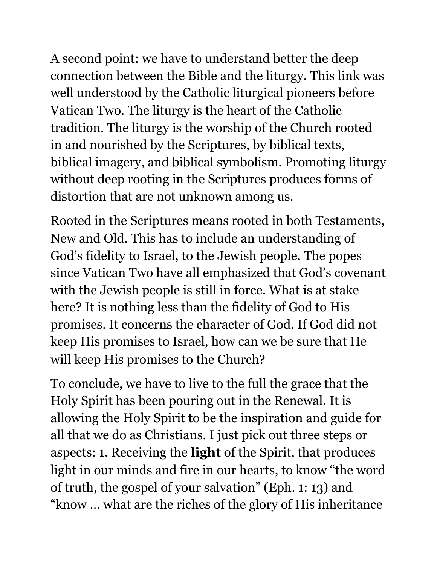A second point: we have to understand better the deep connection between the Bible and the liturgy. This link was well understood by the Catholic liturgical pioneers before Vatican Two. The liturgy is the heart of the Catholic tradition. The liturgy is the worship of the Church rooted in and nourished by the Scriptures, by biblical texts, biblical imagery, and biblical symbolism. Promoting liturgy without deep rooting in the Scriptures produces forms of distortion that are not unknown among us.

Rooted in the Scriptures means rooted in both Testaments, New and Old. This has to include an understanding of God's fidelity to Israel, to the Jewish people. The popes since Vatican Two have all emphasized that God's covenant with the Jewish people is still in force. What is at stake here? It is nothing less than the fidelity of God to His promises. It concerns the character of God. If God did not keep His promises to Israel, how can we be sure that He will keep His promises to the Church?

To conclude, we have to live to the full the grace that the Holy Spirit has been pouring out in the Renewal. It is allowing the Holy Spirit to be the inspiration and guide for all that we do as Christians. I just pick out three steps or aspects: 1. Receiving the **light** of the Spirit, that produces light in our minds and fire in our hearts, to know "the word of truth, the gospel of your salvation" (Eph. 1: 13) and "know … what are the riches of the glory of His inheritance